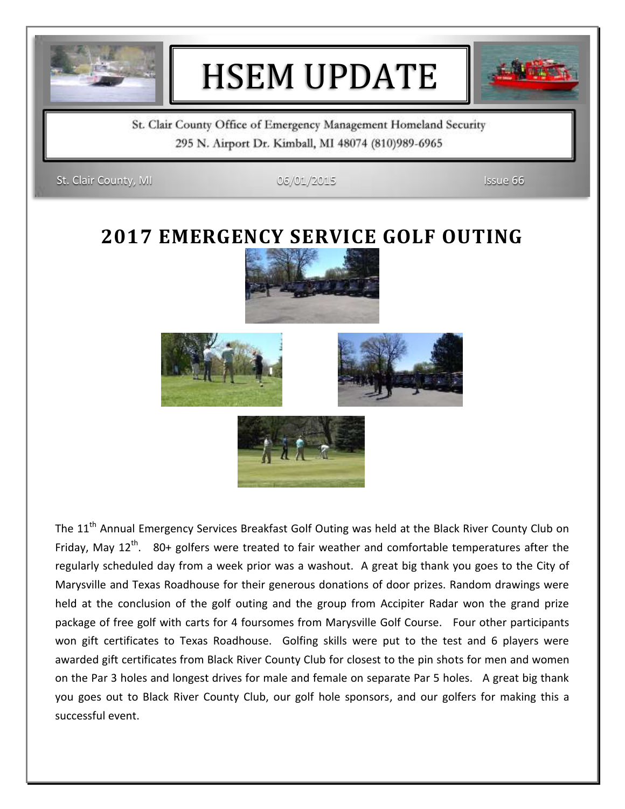

# HSEM UPDATE



St. Clair County Office of Emergency Management Homeland Security 295 N. Airport Dr. Kimball, MI 48074 (810)989-6965

St. Clair County, MI 06/01/2015 Issue 66

#### **2017 EMERGENCY SERVICE GOLF OUTING**







The 11<sup>th</sup> Annual Emergency Services Breakfast Golf Outing was held at the Black River County Club on Friday, May  $12<sup>th</sup>$ . 80+ golfers were treated to fair weather and comfortable temperatures after the regularly scheduled day from a week prior was a washout. A great big thank you goes to the City of Marysville and Texas Roadhouse for their generous donations of door prizes. Random drawings were held at the conclusion of the golf outing and the group from Accipiter Radar won the grand prize package of free golf with carts for 4 foursomes from Marysville Golf Course. Four other participants won gift certificates to Texas Roadhouse. Golfing skills were put to the test and 6 players were awarded gift certificates from Black River County Club for closest to the pin shots for men and women on the Par 3 holes and longest drives for male and female on separate Par 5 holes. A great big thank you goes out to Black River County Club, our golf hole sponsors, and our golfers for making this a successful event.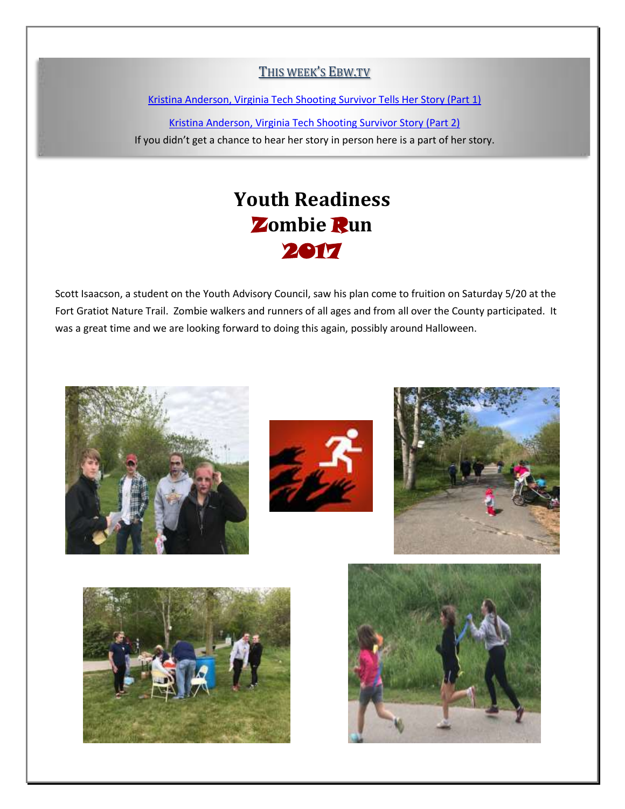#### THIS WEEK'S EBW.TV

[Kristina Anderson, Virginia Tech Shooting Survivor Tells Her Story](http://ebw.tv/kristina-anderson-virginia-tech-survivor-shares-her-story/) (Part 1)

[Kristina Anderson, Virginia Tech Shooting Survivor Story \(Part 2\)](http://ebw.tv/kristina-anderson-virginia-tech-survivor-shares-her-story-2/) If you didn't get a chance to hear her story in person here is a part of her story.

## **Youth Readiness** Z**ombie** R**un** 2017

Scott Isaacson, a student on the Youth Advisory Council, saw his plan come to fruition on Saturday 5/20 at the Fort Gratiot Nature Trail. Zombie walkers and runners of all ages and from all over the County participated. It was a great time and we are looking forward to doing this again, possibly around Halloween.









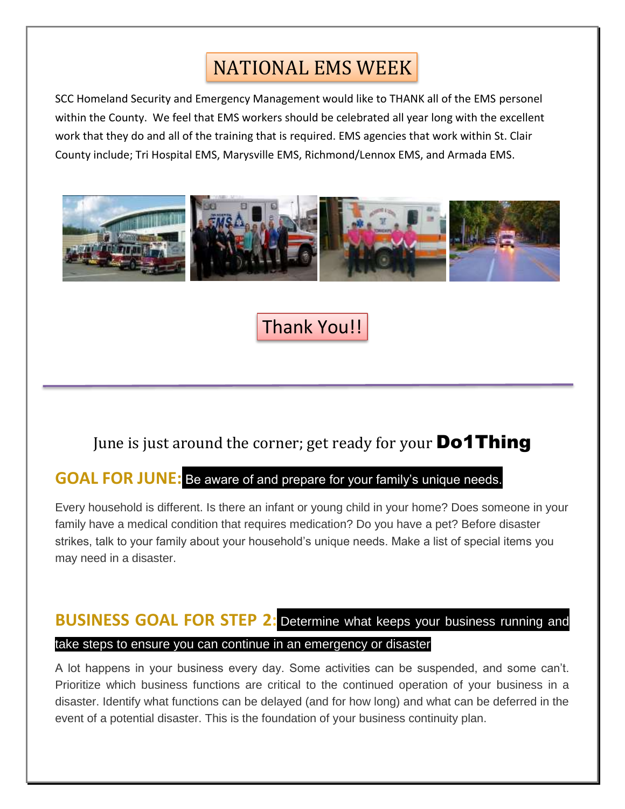# NATIONAL EMS WEEK

SCC Homeland Security and Emergency Management would like to THANK all of the EMS personel within the County. We feel that EMS workers should be celebrated all year long with the excellent work that they do and all of the training that is required. EMS agencies that work within St. Clair County include; Tri Hospital EMS, Marysville EMS, Richmond/Lennox EMS, and Armada EMS.



### Thank You!!

#### June is just around the corner; get ready for your **Do1Thing**

#### **GOAL FOR JUNE:** Be aware of and prepare for your family's unique needs.

Every household is different. Is there an infant or young child in your home? Does someone in your family have a medical condition that requires medication? Do you have a pet? Before disaster strikes, talk to your family about your household's unique needs. Make a list of special items you may need in a disaster.

#### **BUSINESS GOAL FOR STEP 2:** Determine what keeps your business running and take steps to ensure you can continue in an emergency or disaster

A lot happens in your business every day. Some activities can be suspended, and some can't. Prioritize which business functions are critical to the continued operation of your business in a disaster. Identify what functions can be delayed (and for how long) and what can be deferred in the event of a potential disaster. This is the foundation of your business continuity plan.